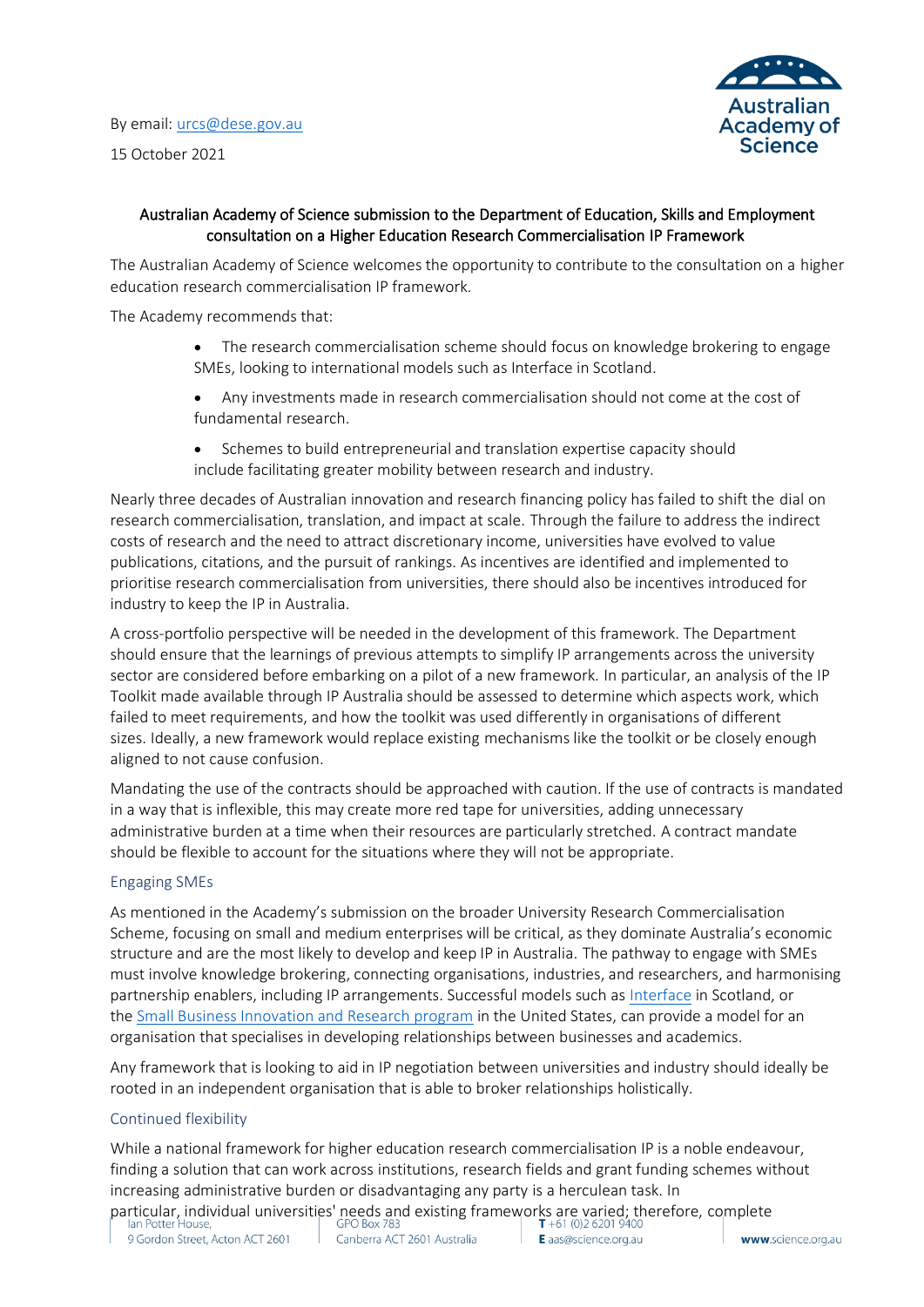By email: [urcs@dese.gov.au](mailto:urcs@dese.gov.au%E2%80%AF%E2%80%AF) 15 October 2021



## Australian Academy of Science submission to the Department of Education, Skills and Employment consultation on a Higher Education Research Commercialisation IP Framework

The Australian Academy of Science welcomes the opportunity to contribute to the consultation on a higher education research commercialisation IP framework.

The Academy recommends that:

- The research commercialisation scheme should focus on knowledge brokering to engage SMEs, looking to international models such as Interface in Scotland.
- Any investments made in research commercialisation should not come at the cost of fundamental research.
- Schemes to build entrepreneurial and translation expertise capacity should include facilitating greater mobility between research and industry.

Nearly three decades of Australian innovation and research financing policy has failed to shift the dial on research commercialisation, translation, and impact at scale. Through the failure to address the indirect costs of research and the need to attract discretionary income, universities have evolved to value publications, citations, and the pursuit of rankings. As incentives are identified and implemented to prioritise research commercialisation from universities, there should also be incentives introduced for industry to keep the IP in Australia.

A cross-portfolio perspective will be needed in the development of this framework. The Department should ensure that the learnings of previous attempts to simplify IP arrangements across the university sector are considered before embarking on a pilot of a new framework. In particular, an analysis of the IP Toolkit made available through IP Australia should be assessed to determine which aspects work, which failed to meet requirements, and how the toolkit was used differently in organisations of different sizes. Ideally, a new framework would replace existing mechanisms like the toolkit or be closely enough aligned to not cause confusion.

Mandating the use of the contracts should be approached with caution. If the use of contracts is mandated in a way that is inflexible, this may create more red tape for universities, adding unnecessary administrative burden at a time when their resources are particularly stretched. A contract mandate should be flexible to account for the situations where they will not be appropriate.

## Engaging SMEs

As mentioned in the Academy's submission on the broader University Research Commercialisation Scheme, focusing on small and medium enterprises will be critical, as they dominate Australia's economic structure and are the most likely to develop and keep IP in Australia. The pathway to engage with SMEs must involve knowledge brokering, connecting organisations, industries, and researchers, and harmonising partnership enablers, including IP arrangements. Successful models such as [Interface](https://interface-online.org.uk/) in Scotland, or the [Small Business Innovation and Research](https://www.sbir.gov/about) program in the United States, can provide a model for an organisation that specialises in developing relationships between businesses and academics.

Any framework that is looking to aid in IP negotiation between universities and industry should ideally be rooted in an independent organisation that is able to broker relationships holistically.

## Continued flexibility

While a national framework for higher education research commercialisation IP is a noble endeavour, finding a solution that can work across institutions, research fields and grant funding schemes without increasing administrative burden or disadvantaging any party is a herculean task. In

particular, individual universities' needs and existing frameworks are varied; therefore, complete<br>| lan Potter House, | GPO Box 783